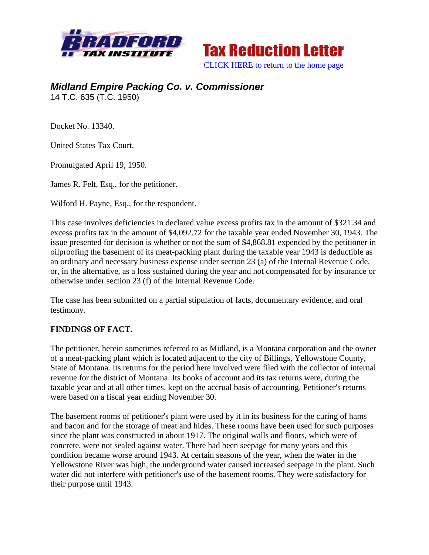



## *Midland Empire Packing Co. v. Commissioner*  14 T.C. 635 (T.C. 1950)

Docket No. 13340.

United States Tax Court.

Promulgated April 19, 1950.

James R. Felt, Esq., for the petitioner.

Wilford H. Payne, Esq., for the respondent.

This case involves deficiencies in declared value excess profits tax in the amount of \$321.34 and excess profits tax in the amount of \$4,092.72 for the taxable year ended November 30, 1943. The issue presented for decision is whether or not the sum of \$4,868.81 expended by the petitioner in oilproofing the basement of its meat-packing plant during the taxable year 1943 is deductible as an ordinary and necessary business expense under section 23 (a) of the Internal Revenue Code, or, in the alternative, as a loss sustained during the year and not compensated for by insurance or otherwise under section 23 (f) of the Internal Revenue Code.

The case has been submitted on a partial stipulation of facts, documentary evidence, and oral testimony.

## **FINDINGS OF FACT.**

The petitioner, herein sometimes referred to as Midland, is a Montana corporation and the owner of a meat-packing plant which is located adjacent to the city of Billings, Yellowstone County, State of Montana. Its returns for the period here involved were filed with the collector of internal revenue for the district of Montana. Its books of account and its tax returns were, during the taxable year and at all other times, kept on the accrual basis of accounting. Petitioner's returns were based on a fiscal year ending November 30.

The basement rooms of petitioner's plant were used by it in its business for the curing of hams and bacon and for the storage of meat and hides. These rooms have been used for such purposes since the plant was constructed in about 1917. The original walls and floors, which were of concrete, were not sealed against water. There had been seepage for many years and this condition became worse around 1943. At certain seasons of the year, when the water in the Yellowstone River was high, the underground water caused increased seepage in the plant. Such water did not interfere with petitioner's use of the basement rooms. They were satisfactory for their purpose until 1943.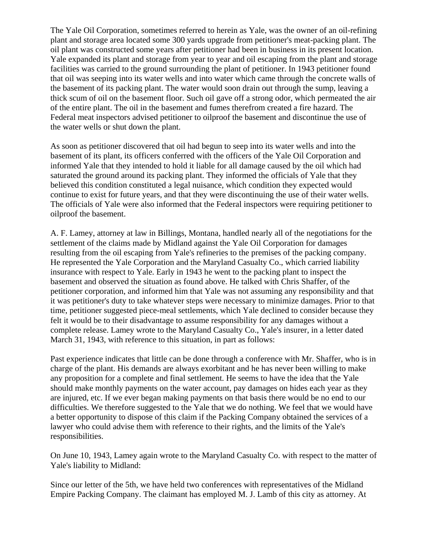The Yale Oil Corporation, sometimes referred to herein as Yale, was the owner of an oil-refining plant and storage area located some 300 yards upgrade from petitioner's meat-packing plant. The oil plant was constructed some years after petitioner had been in business in its present location. Yale expanded its plant and storage from year to year and oil escaping from the plant and storage facilities was carried to the ground surrounding the plant of petitioner. In 1943 petitioner found that oil was seeping into its water wells and into water which came through the concrete walls of the basement of its packing plant. The water would soon drain out through the sump, leaving a thick scum of oil on the basement floor. Such oil gave off a strong odor, which permeated the air of the entire plant. The oil in the basement and fumes therefrom created a fire hazard. The Federal meat inspectors advised petitioner to oilproof the basement and discontinue the use of the water wells or shut down the plant.

As soon as petitioner discovered that oil had begun to seep into its water wells and into the basement of its plant, its officers conferred with the officers of the Yale Oil Corporation and informed Yale that they intended to hold it liable for all damage caused by the oil which had saturated the ground around its packing plant. They informed the officials of Yale that they believed this condition constituted a legal nuisance, which condition they expected would continue to exist for future years, and that they were discontinuing the use of their water wells. The officials of Yale were also informed that the Federal inspectors were requiring petitioner to oilproof the basement.

A. F. Lamey, attorney at law in Billings, Montana, handled nearly all of the negotiations for the settlement of the claims made by Midland against the Yale Oil Corporation for damages resulting from the oil escaping from Yale's refineries to the premises of the packing company. He represented the Yale Corporation and the Maryland Casualty Co., which carried liability insurance with respect to Yale. Early in 1943 he went to the packing plant to inspect the basement and observed the situation as found above. He talked with Chris Shaffer, of the petitioner corporation, and informed him that Yale was not assuming any responsibility and that it was petitioner's duty to take whatever steps were necessary to minimize damages. Prior to that time, petitioner suggested piece-meal settlements, which Yale declined to consider because they felt it would be to their disadvantage to assume responsibility for any damages without a complete release. Lamey wrote to the Maryland Casualty Co., Yale's insurer, in a letter dated March 31, 1943, with reference to this situation, in part as follows:

Past experience indicates that little can be done through a conference with Mr. Shaffer, who is in charge of the plant. His demands are always exorbitant and he has never been willing to make any proposition for a complete and final settlement. He seems to have the idea that the Yale should make monthly payments on the water account, pay damages on hides each year as they are injured, etc. If we ever began making payments on that basis there would be no end to our difficulties. We therefore suggested to the Yale that we do nothing. We feel that we would have a better opportunity to dispose of this claim if the Packing Company obtained the services of a lawyer who could advise them with reference to their rights, and the limits of the Yale's responsibilities.

On June 10, 1943, Lamey again wrote to the Maryland Casualty Co. with respect to the matter of Yale's liability to Midland:

Since our letter of the 5th, we have held two conferences with representatives of the Midland Empire Packing Company. The claimant has employed M. J. Lamb of this city as attorney. At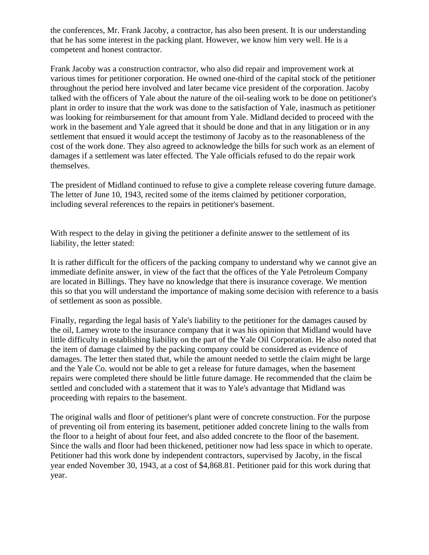the conferences, Mr. Frank Jacoby, a contractor, has also been present. It is our understanding that he has some interest in the packing plant. However, we know him very well. He is a competent and honest contractor.

Frank Jacoby was a construction contractor, who also did repair and improvement work at various times for petitioner corporation. He owned one-third of the capital stock of the petitioner throughout the period here involved and later became vice president of the corporation. Jacoby talked with the officers of Yale about the nature of the oil-sealing work to be done on petitioner's plant in order to insure that the work was done to the satisfaction of Yale, inasmuch as petitioner was looking for reimbursement for that amount from Yale. Midland decided to proceed with the work in the basement and Yale agreed that it should be done and that in any litigation or in any settlement that ensued it would accept the testimony of Jacoby as to the reasonableness of the cost of the work done. They also agreed to acknowledge the bills for such work as an element of damages if a settlement was later effected. The Yale officials refused to do the repair work themselves.

The president of Midland continued to refuse to give a complete release covering future damage. The letter of June 10, 1943, recited some of the items claimed by petitioner corporation, including several references to the repairs in petitioner's basement.

With respect to the delay in giving the petitioner a definite answer to the settlement of its liability, the letter stated:

It is rather difficult for the officers of the packing company to understand why we cannot give an immediate definite answer, in view of the fact that the offices of the Yale Petroleum Company are located in Billings. They have no knowledge that there is insurance coverage. We mention this so that you will understand the importance of making some decision with reference to a basis of settlement as soon as possible.

Finally, regarding the legal basis of Yale's liability to the petitioner for the damages caused by the oil, Lamey wrote to the insurance company that it was his opinion that Midland would have little difficulty in establishing liability on the part of the Yale Oil Corporation. He also noted that the item of damage claimed by the packing company could be considered as evidence of damages. The letter then stated that, while the amount needed to settle the claim might be large and the Yale Co. would not be able to get a release for future damages, when the basement repairs were completed there should be little future damage. He recommended that the claim be settled and concluded with a statement that it was to Yale's advantage that Midland was proceeding with repairs to the basement.

The original walls and floor of petitioner's plant were of concrete construction. For the purpose of preventing oil from entering its basement, petitioner added concrete lining to the walls from the floor to a height of about four feet, and also added concrete to the floor of the basement. Since the walls and floor had been thickened, petitioner now had less space in which to operate. Petitioner had this work done by independent contractors, supervised by Jacoby, in the fiscal year ended November 30, 1943, at a cost of \$4,868.81. Petitioner paid for this work during that year.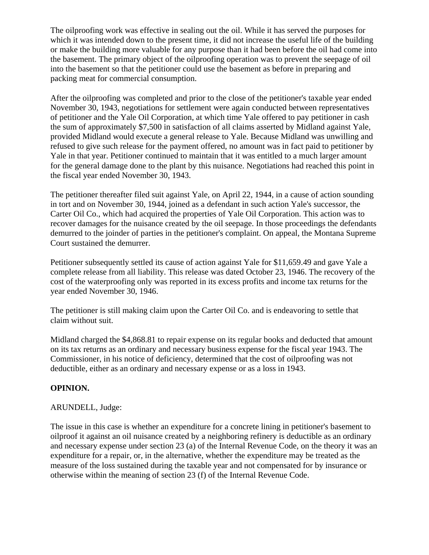The oilproofing work was effective in sealing out the oil. While it has served the purposes for which it was intended down to the present time, it did not increase the useful life of the building or make the building more valuable for any purpose than it had been before the oil had come into the basement. The primary object of the oilproofing operation was to prevent the seepage of oil into the basement so that the petitioner could use the basement as before in preparing and packing meat for commercial consumption.

After the oilproofing was completed and prior to the close of the petitioner's taxable year ended November 30, 1943, negotiations for settlement were again conducted between representatives of petitioner and the Yale Oil Corporation, at which time Yale offered to pay petitioner in cash the sum of approximately \$7,500 in satisfaction of all claims asserted by Midland against Yale, provided Midland would execute a general release to Yale. Because Midland was unwilling and refused to give such release for the payment offered, no amount was in fact paid to petitioner by Yale in that year. Petitioner continued to maintain that it was entitled to a much larger amount for the general damage done to the plant by this nuisance. Negotiations had reached this point in the fiscal year ended November 30, 1943.

The petitioner thereafter filed suit against Yale, on April 22, 1944, in a cause of action sounding in tort and on November 30, 1944, joined as a defendant in such action Yale's successor, the Carter Oil Co., which had acquired the properties of Yale Oil Corporation. This action was to recover damages for the nuisance created by the oil seepage. In those proceedings the defendants demurred to the joinder of parties in the petitioner's complaint. On appeal, the Montana Supreme Court sustained the demurrer.

Petitioner subsequently settled its cause of action against Yale for \$11,659.49 and gave Yale a complete release from all liability. This release was dated October 23, 1946. The recovery of the cost of the waterproofing only was reported in its excess profits and income tax returns for the year ended November 30, 1946.

The petitioner is still making claim upon the Carter Oil Co. and is endeavoring to settle that claim without suit.

Midland charged the \$4,868.81 to repair expense on its regular books and deducted that amount on its tax returns as an ordinary and necessary business expense for the fiscal year 1943. The Commissioner, in his notice of deficiency, determined that the cost of oilproofing was not deductible, either as an ordinary and necessary expense or as a loss in 1943.

## **OPINION.**

## ARUNDELL, Judge:

The issue in this case is whether an expenditure for a concrete lining in petitioner's basement to oilproof it against an oil nuisance created by a neighboring refinery is deductible as an ordinary and necessary expense under section 23 (a) of the Internal Revenue Code, on the theory it was an expenditure for a repair, or, in the alternative, whether the expenditure may be treated as the measure of the loss sustained during the taxable year and not compensated for by insurance or otherwise within the meaning of section 23 (f) of the Internal Revenue Code.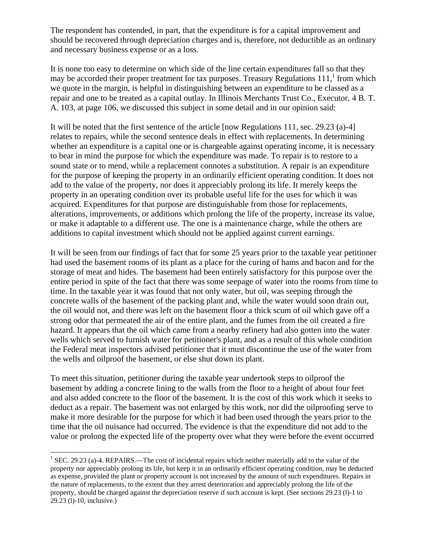The respondent has contended, in part, that the expenditure is for a capital improvement and should be recovered through depreciation charges and is, therefore, not deductible as an ordinary and necessary business expense or as a loss.

It is none too easy to determine on which side of the line certain expenditures fall so that they may be accorded their proper treatment for tax purposes. Treasury Regulations  $111$ , from which we quote in the margin, is helpful in distinguishing between an expenditure to be classed as a repair and one to be treated as a capital outlay. In Illinois Merchants Trust Co., Executor, 4 B. T. A. 103, at page 106, we discussed this subject in some detail and in our opinion said:

It will be noted that the first sentence of the article [now Regulations 111, sec. 29.23 (a)-4] relates to repairs, while the second sentence deals in effect with replacements. In determining whether an expenditure is a capital one or is chargeable against operating income, it is necessary to bear in mind the purpose for which the expenditure was made. To repair is to restore to a sound state or to mend, while a replacement connotes a substitution. A repair is an expenditure for the purpose of keeping the property in an ordinarily efficient operating condition. It does not add to the value of the property, nor does it appreciably prolong its life. It merely keeps the property in an operating condition over its probable useful life for the uses for which it was acquired. Expenditures for that purpose are distinguishable from those for replacements, alterations, improvements, or additions which prolong the life of the property, increase its value, or make it adaptable to a different use. The one is a maintenance charge, while the others are additions to capital investment which should not be applied against current earnings.

It will be seen from our findings of fact that for some 25 years prior to the taxable year petitioner had used the basement rooms of its plant as a place for the curing of hams and bacon and for the storage of meat and hides. The basement had been entirely satisfactory for this purpose over the entire period in spite of the fact that there was some seepage of water into the rooms from time to time. In the taxable year it was found that not only water, but oil, was seeping through the concrete walls of the basement of the packing plant and, while the water would soon drain out, the oil would not, and there was left on the basement floor a thick scum of oil which gave off a strong odor that permeated the air of the entire plant, and the fumes from the oil created a fire hazard. It appears that the oil which came from a nearby refinery had also gotten into the water wells which served to furnish water for petitioner's plant, and as a result of this whole condition the Federal meat inspectors advised petitioner that it must discontinue the use of the water from the wells and oilproof the basement, or else shut down its plant.

To meet this situation, petitioner during the taxable year undertook steps to oilproof the basement by adding a concrete lining to the walls from the floor to a height of about four feet and also added concrete to the floor of the basement. It is the cost of this work which it seeks to deduct as a repair. The basement was not enlarged by this work, nor did the oilproofing serve to make it more desirable for the purpose for which it had been used through the years prior to the time that the oil nuisance had occurred. The evidence is that the expenditure did not add to the value or prolong the expected life of the property over what they were before the event occurred

1

<sup>&</sup>lt;sup>1</sup> SEC. 29.23 (a)-4. REPAIRS.—The cost of incidental repairs which neither materially add to the value of the property nor appreciably prolong its life, but keep it in an ordinarily efficient operating condition, may be deducted as expense, provided the plant or property account is not increased by the amount of such expenditures. Repairs in the nature of replacements, to the extent that they arrest deterioration and appreciably prolong the life of the property, should be charged against the depreciation reserve if such account is kept. (See sections 29.23 (l)-1 to 29.23 (l)-10, inclusive.)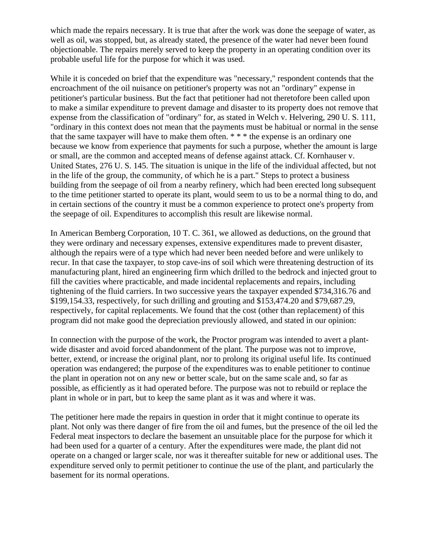which made the repairs necessary. It is true that after the work was done the seepage of water, as well as oil, was stopped, but, as already stated, the presence of the water had never been found objectionable. The repairs merely served to keep the property in an operating condition over its probable useful life for the purpose for which it was used.

While it is conceded on brief that the expenditure was "necessary," respondent contends that the encroachment of the oil nuisance on petitioner's property was not an "ordinary" expense in petitioner's particular business. But the fact that petitioner had not theretofore been called upon to make a similar expenditure to prevent damage and disaster to its property does not remove that expense from the classification of "ordinary" for, as stated in Welch v. Helvering, 290 U. S. 111, "ordinary in this context does not mean that the payments must be habitual or normal in the sense that the same taxpayer will have to make them often. \* \* \* the expense is an ordinary one because we know from experience that payments for such a purpose, whether the amount is large or small, are the common and accepted means of defense against attack. Cf. Kornhauser v. United States, 276 U. S. 145. The situation is unique in the life of the individual affected, but not in the life of the group, the community, of which he is a part." Steps to protect a business building from the seepage of oil from a nearby refinery, which had been erected long subsequent to the time petitioner started to operate its plant, would seem to us to be a normal thing to do, and in certain sections of the country it must be a common experience to protect one's property from the seepage of oil. Expenditures to accomplish this result are likewise normal.

In American Bemberg Corporation, 10 T. C. 361, we allowed as deductions, on the ground that they were ordinary and necessary expenses, extensive expenditures made to prevent disaster, although the repairs were of a type which had never been needed before and were unlikely to recur. In that case the taxpayer, to stop cave-ins of soil which were threatening destruction of its manufacturing plant, hired an engineering firm which drilled to the bedrock and injected grout to fill the cavities where practicable, and made incidental replacements and repairs, including tightening of the fluid carriers. In two successive years the taxpayer expended \$734,316.76 and \$199,154.33, respectively, for such drilling and grouting and \$153,474.20 and \$79,687.29, respectively, for capital replacements. We found that the cost (other than replacement) of this program did not make good the depreciation previously allowed, and stated in our opinion:

In connection with the purpose of the work, the Proctor program was intended to avert a plantwide disaster and avoid forced abandonment of the plant. The purpose was not to improve, better, extend, or increase the original plant, nor to prolong its original useful life. Its continued operation was endangered; the purpose of the expenditures was to enable petitioner to continue the plant in operation not on any new or better scale, but on the same scale and, so far as possible, as efficiently as it had operated before. The purpose was not to rebuild or replace the plant in whole or in part, but to keep the same plant as it was and where it was.

The petitioner here made the repairs in question in order that it might continue to operate its plant. Not only was there danger of fire from the oil and fumes, but the presence of the oil led the Federal meat inspectors to declare the basement an unsuitable place for the purpose for which it had been used for a quarter of a century. After the expenditures were made, the plant did not operate on a changed or larger scale, nor was it thereafter suitable for new or additional uses. The expenditure served only to permit petitioner to continue the use of the plant, and particularly the basement for its normal operations.